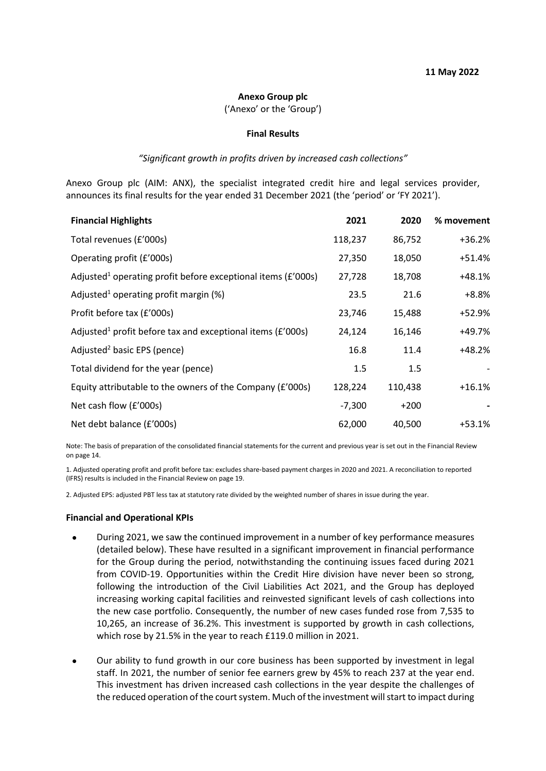#### **Anexo Group plc**

('Anexo' or the 'Group')

#### **Final Results**

#### *"Significant growth in profits driven by increased cash collections"*

Anexo Group plc (AIM: ANX), the specialist integrated credit hire and legal services provider, announces its final results for the year ended 31 December 2021 (the 'period' or 'FY 2021').

| <b>Financial Highlights</b>                                                  | 2021     | 2020    | % movement |
|------------------------------------------------------------------------------|----------|---------|------------|
| Total revenues (£'000s)                                                      | 118,237  | 86,752  | $+36.2%$   |
| Operating profit (£'000s)                                                    | 27,350   | 18,050  | $+51.4%$   |
| Adjusted <sup>1</sup> operating profit before exceptional items ( $E'$ 000s) | 27,728   | 18,708  | $+48.1%$   |
| Adjusted <sup>1</sup> operating profit margin $(\%)$                         | 23.5     | 21.6    | $+8.8%$    |
| Profit before tax (£'000s)                                                   | 23,746   | 15,488  | +52.9%     |
| Adjusted <sup>1</sup> profit before tax and exceptional items ( $E'000s$ )   | 24,124   | 16,146  | +49.7%     |
| Adjusted <sup>2</sup> basic EPS (pence)                                      | 16.8     | 11.4    | $+48.2%$   |
| Total dividend for the year (pence)                                          | 1.5      | 1.5     |            |
| Equity attributable to the owners of the Company (£'000s)                    | 128,224  | 110,438 | $+16.1%$   |
| Net cash flow (£'000s)                                                       | $-7,300$ | $+200$  |            |
| Net debt balance (£'000s)                                                    | 62,000   | 40,500  | $+53.1%$   |

Note: The basis of preparation of the consolidated financial statements for the current and previous year is set out in the Financial Review on page 14.

1. Adjusted operating profit and profit before tax: excludes share‑based payment charges in 2020 and 2021. A reconciliation to reported (IFRS) results is included in the Financial Review on page 19.

2. Adjusted EPS: adjusted PBT less tax at statutory rate divided by the weighted number of shares in issue during the year.

#### **Financial and Operational KPIs**

- During 2021, we saw the continued improvement in a number of key performance measures (detailed below). These have resulted in a significant improvement in financial performance for the Group during the period, notwithstanding the continuing issues faced during 2021 from COVID-19. Opportunities within the Credit Hire division have never been so strong, following the introduction of the Civil Liabilities Act 2021, and the Group has deployed increasing working capital facilities and reinvested significant levels of cash collections into the new case portfolio. Consequently, the number of new cases funded rose from 7,535 to 10,265, an increase of 36.2%. This investment is supported by growth in cash collections, which rose by 21.5% in the year to reach £119.0 million in 2021.
- Our ability to fund growth in our core business has been supported by investment in legal staff. In 2021, the number of senior fee earners grew by 45% to reach 237 at the year end. This investment has driven increased cash collections in the year despite the challenges of the reduced operation of the court system. Much of the investment will start to impact during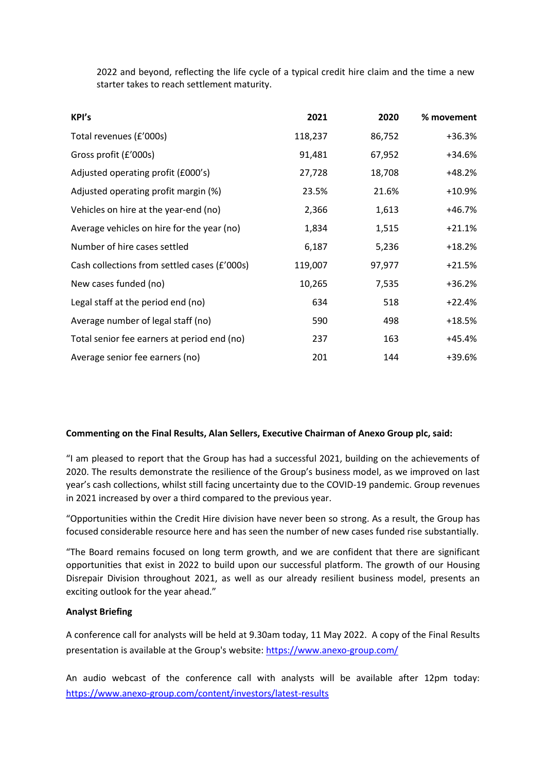2022 and beyond, reflecting the life cycle of a typical credit hire claim and the time a new starter takes to reach settlement maturity.

| KPI's                                        | 2021    | 2020   | % movement |
|----------------------------------------------|---------|--------|------------|
| Total revenues (£'000s)                      | 118,237 | 86,752 | $+36.3%$   |
| Gross profit (£'000s)                        | 91,481  | 67,952 | $+34.6%$   |
| Adjusted operating profit (£000's)           | 27,728  | 18,708 | $+48.2%$   |
| Adjusted operating profit margin (%)         | 23.5%   | 21.6%  | $+10.9%$   |
| Vehicles on hire at the year-end (no)        | 2,366   | 1,613  | +46.7%     |
| Average vehicles on hire for the year (no)   | 1,834   | 1,515  | $+21.1%$   |
| Number of hire cases settled                 | 6,187   | 5,236  | $+18.2%$   |
| Cash collections from settled cases (£'000s) | 119,007 | 97,977 | $+21.5%$   |
| New cases funded (no)                        | 10,265  | 7,535  | $+36.2%$   |
| Legal staff at the period end (no)           | 634     | 518    | $+22.4%$   |
| Average number of legal staff (no)           | 590     | 498    | $+18.5%$   |
| Total senior fee earners at period end (no)  | 237     | 163    | +45.4%     |
| Average senior fee earners (no)              | 201     | 144    | +39.6%     |

## **Commenting on the Final Results, Alan Sellers, Executive Chairman of Anexo Group plc, said:**

"I am pleased to report that the Group has had a successful 2021, building on the achievements of 2020. The results demonstrate the resilience of the Group's business model, as we improved on last year's cash collections, whilst still facing uncertainty due to the COVID-19 pandemic. Group revenues in 2021 increased by over a third compared to the previous year.

"Opportunities within the Credit Hire division have never been so strong. As a result, the Group has focused considerable resource here and has seen the number of new cases funded rise substantially.

"The Board remains focused on long term growth, and we are confident that there are significant opportunities that exist in 2022 to build upon our successful platform. The growth of our Housing Disrepair Division throughout 2021, as well as our already resilient business model, presents an exciting outlook for the year ahead."

## **Analyst Briefing**

A conference call for analysts will be held at 9.30am today, 11 May 2022. A copy of the Final Results presentation is available at the Group's website: <https://www.anexo-group.com/>

An audio webcast of the conference call with analysts will be available after 12pm today: <https://www.anexo-group.com/content/investors/latest-results>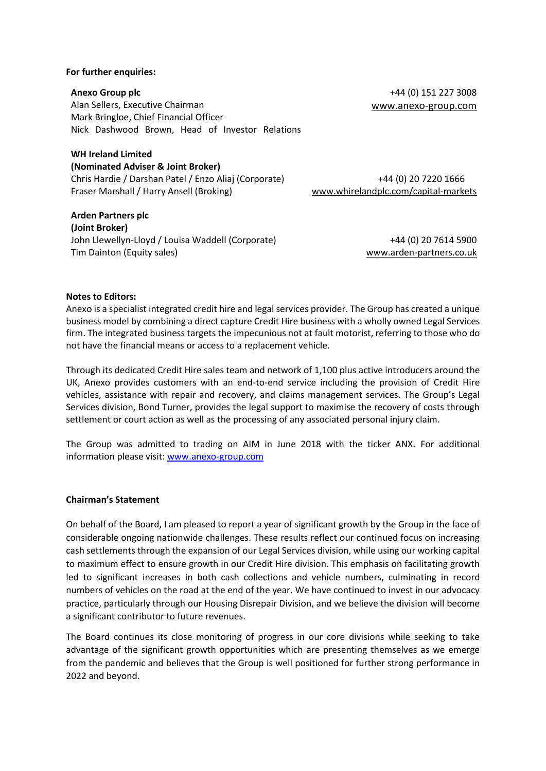#### **For further enquiries:**

**Anexo Group plc** +44 (0) 151 227 3008 Alan Sellers, Executive Chairman [www.anexo-group.com](http://www.anexo-group.com/) Mark Bringloe, Chief Financial Officer Nick Dashwood Brown, Head of Investor Relations

## **WH Ireland Limited (Nominated Adviser & Joint Broker)** Chris Hardie / Darshan Patel / Enzo Aliaj (Corporate) Fraser Marshall / Harry Ansell (Broking)

**Arden Partners plc (Joint Broker)** John Llewellyn-Lloyd / Louisa Waddell (Corporate) Tim Dainton (Equity sales)

+44 (0) 20 7614 5900 [www.arden-partners.co.uk](http://www.arden-partners.co.uk/)

+44 (0) 20 7220 1666

[www.whirelandplc.com/capital-markets](https://url.avanan.click/v2/___https:/eu-west-1.protection.sophos.com?d=whirelandplc.com&u=aHR0cDovL3d3dy53aGlyZWxhbmRwbGMuY29tL2NhcGl0YWwtbWFya2V0cw==&i=NWNkOTc2NmM5OWJhMjAxMDhmN2IyYzQ1&t=SXVCMnArbXpCUWFUR3hiN0dhVjR5Q3d4VDNrTGVJc1JZVXNxWVRpbE8zcz0=&h=0482e68813aa4f569a47aab5cdad04d1___.YXAxZTp3aGlyZWxhbmRwbGMyOmE6bzpjYjY3ZDZhNTE1ZmUwZTA0Zjg3MDFkYTJhYTAxZGMyNDo2OmU0NjA6M2ViNTgwYzkxMmM5NTFlMzUyMzM1ODhlNzcyOGFhMjZhNjI0OTkzOGRkOTkzZjQ5NTUzNjFjYzE5N2UwYTBkNzpoOlQ)

## **Notes to Editors:**

Anexo is a specialist integrated credit hire and legal services provider. The Group has created a unique business model by combining a direct capture Credit Hire business with a wholly owned Legal Services firm. The integrated business targets the impecunious not at fault motorist, referring to those who do not have the financial means or access to a replacement vehicle.

Through its dedicated Credit Hire sales team and network of 1,100 plus active introducers around the UK, Anexo provides customers with an end-to-end service including the provision of Credit Hire vehicles, assistance with repair and recovery, and claims management services. The Group's Legal Services division, Bond Turner, provides the legal support to maximise the recovery of costs through settlement or court action as well as the processing of any associated personal injury claim.

The Group was admitted to trading on AIM in June 2018 with the ticker ANX. For additional information please visit: [www.anexo-group.com](http://www.anexo-group.com/)

## **Chairman's Statement**

On behalf of the Board, I am pleased to report a year of significant growth by the Group in the face of considerable ongoing nationwide challenges. These results reflect our continued focus on increasing cash settlements through the expansion of our Legal Services division, while using our working capital to maximum effect to ensure growth in our Credit Hire division. This emphasis on facilitating growth led to significant increases in both cash collections and vehicle numbers, culminating in record numbers of vehicles on the road at the end of the year. We have continued to invest in our advocacy practice, particularly through our Housing Disrepair Division, and we believe the division will become a significant contributor to future revenues.

The Board continues its close monitoring of progress in our core divisions while seeking to take advantage of the significant growth opportunities which are presenting themselves as we emerge from the pandemic and believes that the Group is well positioned for further strong performance in 2022 and beyond.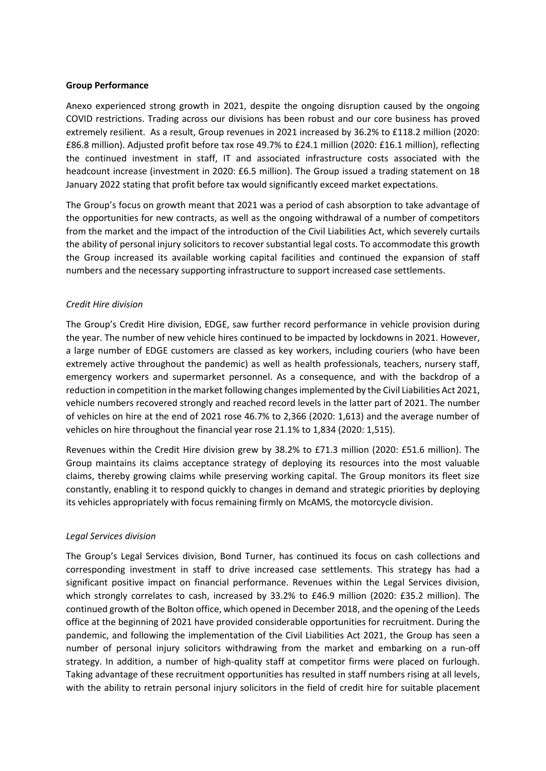## **Group Performance**

Anexo experienced strong growth in 2021, despite the ongoing disruption caused by the ongoing COVID restrictions. Trading across our divisions has been robust and our core business has proved extremely resilient. As a result, Group revenues in 2021 increased by 36.2% to £118.2 million (2020: £86.8 million). Adjusted profit before tax rose 49.7% to £24.1 million (2020: £16.1 million), reflecting the continued investment in staff, IT and associated infrastructure costs associated with the headcount increase (investment in 2020: £6.5 million). The Group issued a trading statement on 18 January 2022 stating that profit before tax would significantly exceed market expectations.

The Group's focus on growth meant that 2021 was a period of cash absorption to take advantage of the opportunities for new contracts, as well as the ongoing withdrawal of a number of competitors from the market and the impact of the introduction of the Civil Liabilities Act, which severely curtails the ability of personal injury solicitors to recover substantial legal costs. To accommodate this growth the Group increased its available working capital facilities and continued the expansion of staff numbers and the necessary supporting infrastructure to support increased case settlements.

## *Credit Hire division*

The Group's Credit Hire division, EDGE, saw further record performance in vehicle provision during the year. The number of new vehicle hires continued to be impacted by lockdowns in 2021. However, a large number of EDGE customers are classed as key workers, including couriers (who have been extremely active throughout the pandemic) as well as health professionals, teachers, nursery staff, emergency workers and supermarket personnel. As a consequence, and with the backdrop of a reduction in competition in the market following changes implemented by the Civil Liabilities Act 2021, vehicle numbers recovered strongly and reached record levels in the latter part of 2021. The number of vehicles on hire at the end of 2021 rose 46.7% to 2,366 (2020: 1,613) and the average number of vehicles on hire throughout the financial year rose 21.1% to 1,834 (2020: 1,515).

Revenues within the Credit Hire division grew by 38.2% to £71.3 million (2020: £51.6 million). The Group maintains its claims acceptance strategy of deploying its resources into the most valuable claims, thereby growing claims while preserving working capital. The Group monitors its fleet size constantly, enabling it to respond quickly to changes in demand and strategic priorities by deploying its vehicles appropriately with focus remaining firmly on McAMS, the motorcycle division.

## *Legal Services division*

The Group's Legal Services division, Bond Turner, has continued its focus on cash collections and corresponding investment in staff to drive increased case settlements. This strategy has had a significant positive impact on financial performance. Revenues within the Legal Services division, which strongly correlates to cash, increased by 33.2% to £46.9 million (2020: £35.2 million). The continued growth of the Bolton office, which opened in December 2018, and the opening of the Leeds office at the beginning of 2021 have provided considerable opportunities for recruitment. During the pandemic, and following the implementation of the Civil Liabilities Act 2021, the Group has seen a number of personal injury solicitors withdrawing from the market and embarking on a run-off strategy. In addition, a number of high-quality staff at competitor firms were placed on furlough. Taking advantage of these recruitment opportunities has resulted in staff numbers rising at all levels, with the ability to retrain personal injury solicitors in the field of credit hire for suitable placement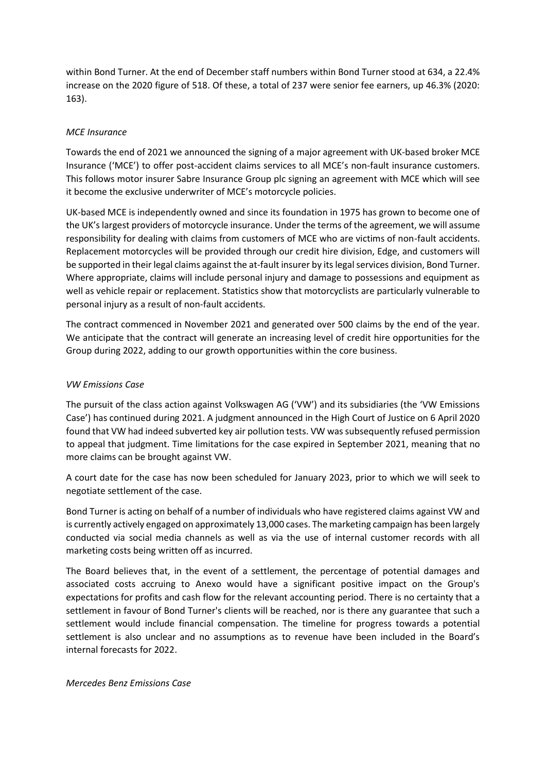within Bond Turner. At the end of December staff numbers within Bond Turner stood at 634, a 22.4% increase on the 2020 figure of 518. Of these, a total of 237 were senior fee earners, up 46.3% (2020: 163).

## *MCE Insurance*

Towards the end of 2021 we announced the signing of a major agreement with UK-based broker MCE Insurance ('MCE') to offer post-accident claims services to all MCE's non-fault insurance customers. This follows motor insurer Sabre Insurance Group plc signing an agreement with MCE which will see it become the exclusive underwriter of MCE's motorcycle policies.

UK-based MCE is independently owned and since its foundation in 1975 has grown to become one of the UK's largest providers of motorcycle insurance. Under the terms of the agreement, we will assume responsibility for dealing with claims from customers of MCE who are victims of non-fault accidents. Replacement motorcycles will be provided through our credit hire division, Edge, and customers will be supported in their legal claims against the at-fault insurer by its legal services division, Bond Turner. Where appropriate, claims will include personal injury and damage to possessions and equipment as well as vehicle repair or replacement. Statistics show that motorcyclists are particularly vulnerable to personal injury as a result of non-fault accidents.

The contract commenced in November 2021 and generated over 500 claims by the end of the year. We anticipate that the contract will generate an increasing level of credit hire opportunities for the Group during 2022, adding to our growth opportunities within the core business.

## *VW Emissions Case*

The pursuit of the class action against Volkswagen AG ('VW') and its subsidiaries (the 'VW Emissions Case') has continued during 2021. A judgment announced in the High Court of Justice on 6 April 2020 found that VW had indeed subverted key air pollution tests. VW was subsequently refused permission to appeal that judgment. Time limitations for the case expired in September 2021, meaning that no more claims can be brought against VW.

A court date for the case has now been scheduled for January 2023, prior to which we will seek to negotiate settlement of the case.

Bond Turner is acting on behalf of a number of individuals who have registered claims against VW and is currently actively engaged on approximately 13,000 cases. The marketing campaign has been largely conducted via social media channels as well as via the use of internal customer records with all marketing costs being written off as incurred.

The Board believes that, in the event of a settlement, the percentage of potential damages and associated costs accruing to Anexo would have a significant positive impact on the Group's expectations for profits and cash flow for the relevant accounting period. There is no certainty that a settlement in favour of Bond Turner's clients will be reached, nor is there any guarantee that such a settlement would include financial compensation. The timeline for progress towards a potential settlement is also unclear and no assumptions as to revenue have been included in the Board's internal forecasts for 2022.

## *Mercedes Benz Emissions Case*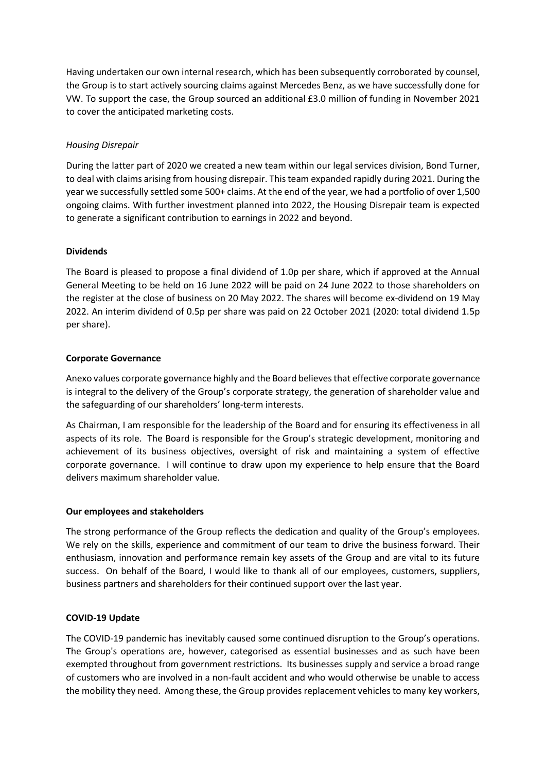Having undertaken our own internal research, which has been subsequently corroborated by counsel, the Group is to start actively sourcing claims against Mercedes Benz, as we have successfully done for VW. To support the case, the Group sourced an additional £3.0 million of funding in November 2021 to cover the anticipated marketing costs.

## *Housing Disrepair*

During the latter part of 2020 we created a new team within our legal services division, Bond Turner, to deal with claims arising from housing disrepair. This team expanded rapidly during 2021. During the year we successfully settled some 500+ claims. At the end of the year, we had a portfolio of over 1,500 ongoing claims. With further investment planned into 2022, the Housing Disrepair team is expected to generate a significant contribution to earnings in 2022 and beyond.

## **Dividends**

The Board is pleased to propose a final dividend of 1.0p per share, which if approved at the Annual General Meeting to be held on 16 June 2022 will be paid on 24 June 2022 to those shareholders on the register at the close of business on 20 May 2022. The shares will become ex-dividend on 19 May 2022. An interim dividend of 0.5p per share was paid on 22 October 2021 (2020: total dividend 1.5p per share).

## **Corporate Governance**

Anexo values corporate governance highly and the Board believes that effective corporate governance is integral to the delivery of the Group's corporate strategy, the generation of shareholder value and the safeguarding of our shareholders' long-term interests.

As Chairman, I am responsible for the leadership of the Board and for ensuring its effectiveness in all aspects of its role. The Board is responsible for the Group's strategic development, monitoring and achievement of its business objectives, oversight of risk and maintaining a system of effective corporate governance. I will continue to draw upon my experience to help ensure that the Board delivers maximum shareholder value.

## **Our employees and stakeholders**

The strong performance of the Group reflects the dedication and quality of the Group's employees. We rely on the skills, experience and commitment of our team to drive the business forward. Their enthusiasm, innovation and performance remain key assets of the Group and are vital to its future success. On behalf of the Board, I would like to thank all of our employees, customers, suppliers, business partners and shareholders for their continued support over the last year.

## **COVID-19 Update**

The COVID-19 pandemic has inevitably caused some continued disruption to the Group's operations. The Group's operations are, however, categorised as essential businesses and as such have been exempted throughout from government restrictions. Its businesses supply and service a broad range of customers who are involved in a non-fault accident and who would otherwise be unable to access the mobility they need. Among these, the Group provides replacement vehicles to many key workers,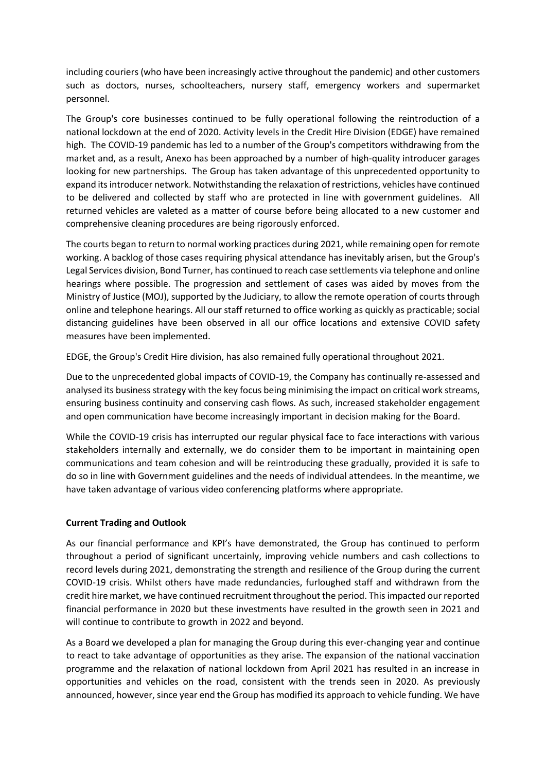including couriers (who have been increasingly active throughout the pandemic) and other customers such as doctors, nurses, schoolteachers, nursery staff, emergency workers and supermarket personnel.

The Group's core businesses continued to be fully operational following the reintroduction of a national lockdown at the end of 2020. Activity levels in the Credit Hire Division (EDGE) have remained high. The COVID-19 pandemic has led to a number of the Group's competitors withdrawing from the market and, as a result, Anexo has been approached by a number of high-quality introducer garages looking for new partnerships. The Group has taken advantage of this unprecedented opportunity to expand its introducer network. Notwithstanding the relaxation of restrictions, vehicles have continued to be delivered and collected by staff who are protected in line with government guidelines. All returned vehicles are valeted as a matter of course before being allocated to a new customer and comprehensive cleaning procedures are being rigorously enforced.

The courts began to return to normal working practices during 2021, while remaining open for remote working. A backlog of those cases requiring physical attendance has inevitably arisen, but the Group's Legal Services division, Bond Turner, has continued to reach case settlements via telephone and online hearings where possible. The progression and settlement of cases was aided by moves from the Ministry of Justice (MOJ), supported by the Judiciary, to allow the remote operation of courts through online and telephone hearings. All our staff returned to office working as quickly as practicable; social distancing guidelines have been observed in all our office locations and extensive COVID safety measures have been implemented.

EDGE, the Group's Credit Hire division, has also remained fully operational throughout 2021.

Due to the unprecedented global impacts of COVID-19, the Company has continually re-assessed and analysed its business strategy with the key focus being minimising the impact on critical work streams, ensuring business continuity and conserving cash flows. As such, increased stakeholder engagement and open communication have become increasingly important in decision making for the Board.

While the COVID-19 crisis has interrupted our regular physical face to face interactions with various stakeholders internally and externally, we do consider them to be important in maintaining open communications and team cohesion and will be reintroducing these gradually, provided it is safe to do so in line with Government guidelines and the needs of individual attendees. In the meantime, we have taken advantage of various video conferencing platforms where appropriate.

## **Current Trading and Outlook**

As our financial performance and KPI's have demonstrated, the Group has continued to perform throughout a period of significant uncertainly, improving vehicle numbers and cash collections to record levels during 2021, demonstrating the strength and resilience of the Group during the current COVID-19 crisis. Whilst others have made redundancies, furloughed staff and withdrawn from the credit hire market, we have continued recruitment throughout the period. This impacted our reported financial performance in 2020 but these investments have resulted in the growth seen in 2021 and will continue to contribute to growth in 2022 and beyond.

As a Board we developed a plan for managing the Group during this ever-changing year and continue to react to take advantage of opportunities as they arise. The expansion of the national vaccination programme and the relaxation of national lockdown from April 2021 has resulted in an increase in opportunities and vehicles on the road, consistent with the trends seen in 2020. As previously announced, however, since year end the Group has modified its approach to vehicle funding. We have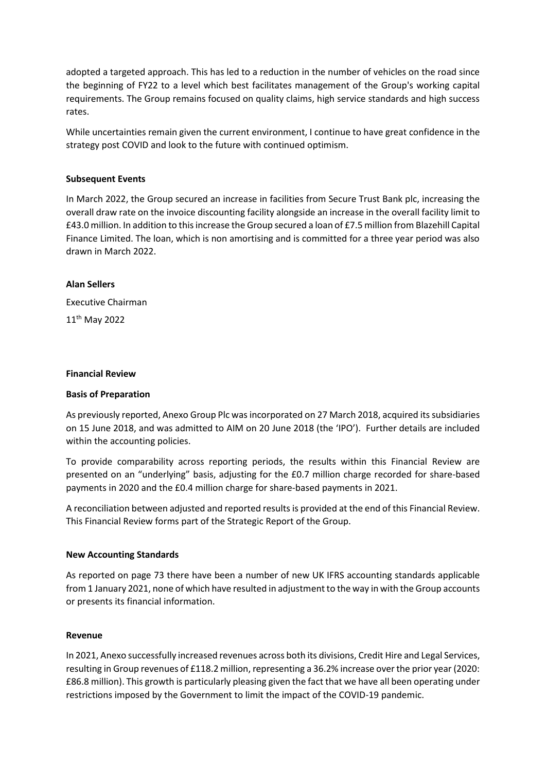adopted a targeted approach. This has led to a reduction in the number of vehicles on the road since the beginning of FY22 to a level which best facilitates management of the Group's working capital requirements. The Group remains focused on quality claims, high service standards and high success rates.

While uncertainties remain given the current environment, I continue to have great confidence in the strategy post COVID and look to the future with continued optimism.

#### **Subsequent Events**

In March 2022, the Group secured an increase in facilities from Secure Trust Bank plc, increasing the overall draw rate on the invoice discounting facility alongside an increase in the overall facility limit to £43.0 million. In addition to this increase the Group secured a loan of £7.5 million from Blazehill Capital Finance Limited. The loan, which is non amortising and is committed for a three year period was also drawn in March 2022.

#### **Alan Sellers**

Executive Chairman 11th May 2022

#### **Financial Review**

#### **Basis of Preparation**

As previously reported, Anexo Group Plc was incorporated on 27 March 2018, acquired its subsidiaries on 15 June 2018, and was admitted to AIM on 20 June 2018 (the 'IPO'). Further details are included within the accounting policies.

To provide comparability across reporting periods, the results within this Financial Review are presented on an "underlying" basis, adjusting for the £0.7 million charge recorded for share-based payments in 2020 and the £0.4 million charge for share-based payments in 2021.

A reconciliation between adjusted and reported results is provided at the end of this Financial Review. This Financial Review forms part of the Strategic Report of the Group.

#### **New Accounting Standards**

As reported on page 73 there have been a number of new UK IFRS accounting standards applicable from 1 January 2021, none of which have resulted in adjustment to the way in with the Group accounts or presents its financial information.

#### **Revenue**

In 2021, Anexo successfully increased revenues across both its divisions, Credit Hire and Legal Services, resulting in Group revenues of £118.2 million, representing a 36.2% increase over the prior year (2020: £86.8 million). This growth is particularly pleasing given the fact that we have all been operating under restrictions imposed by the Government to limit the impact of the COVID-19 pandemic.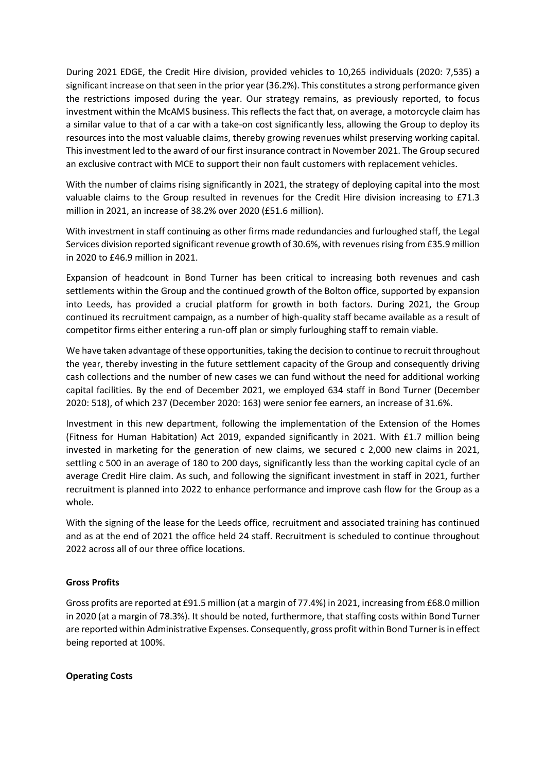During 2021 EDGE, the Credit Hire division, provided vehicles to 10,265 individuals (2020: 7,535) a significant increase on that seen in the prior year (36.2%). This constitutes a strong performance given the restrictions imposed during the year. Our strategy remains, as previously reported, to focus investment within the McAMS business. This reflects the fact that, on average, a motorcycle claim has a similar value to that of a car with a take-on cost significantly less, allowing the Group to deploy its resources into the most valuable claims, thereby growing revenues whilst preserving working capital. This investment led to the award of our first insurance contract in November 2021. The Group secured an exclusive contract with MCE to support their non fault customers with replacement vehicles.

With the number of claims rising significantly in 2021, the strategy of deploying capital into the most valuable claims to the Group resulted in revenues for the Credit Hire division increasing to £71.3 million in 2021, an increase of 38.2% over 2020 (£51.6 million).

With investment in staff continuing as other firms made redundancies and furloughed staff, the Legal Services division reported significant revenue growth of 30.6%, with revenues rising from £35.9 million in 2020 to £46.9 million in 2021.

Expansion of headcount in Bond Turner has been critical to increasing both revenues and cash settlements within the Group and the continued growth of the Bolton office, supported by expansion into Leeds, has provided a crucial platform for growth in both factors. During 2021, the Group continued its recruitment campaign, as a number of high-quality staff became available as a result of competitor firms either entering a run-off plan or simply furloughing staff to remain viable.

We have taken advantage of these opportunities, taking the decision to continue to recruit throughout the year, thereby investing in the future settlement capacity of the Group and consequently driving cash collections and the number of new cases we can fund without the need for additional working capital facilities. By the end of December 2021, we employed 634 staff in Bond Turner (December 2020: 518), of which 237 (December 2020: 163) were senior fee earners, an increase of 31.6%.

Investment in this new department, following the implementation of the Extension of the Homes (Fitness for Human Habitation) Act 2019, expanded significantly in 2021. With £1.7 million being invested in marketing for the generation of new claims, we secured c 2,000 new claims in 2021, settling c 500 in an average of 180 to 200 days, significantly less than the working capital cycle of an average Credit Hire claim. As such, and following the significant investment in staff in 2021, further recruitment is planned into 2022 to enhance performance and improve cash flow for the Group as a whole.

With the signing of the lease for the Leeds office, recruitment and associated training has continued and as at the end of 2021 the office held 24 staff. Recruitment is scheduled to continue throughout 2022 across all of our three office locations.

## **Gross Profits**

Gross profits are reported at £91.5 million (at a margin of 77.4%) in 2021, increasing from £68.0 million in 2020 (at a margin of 78.3%). It should be noted, furthermore, that staffing costs within Bond Turner are reported within Administrative Expenses. Consequently, gross profit within Bond Turner is in effect being reported at 100%.

## **Operating Costs**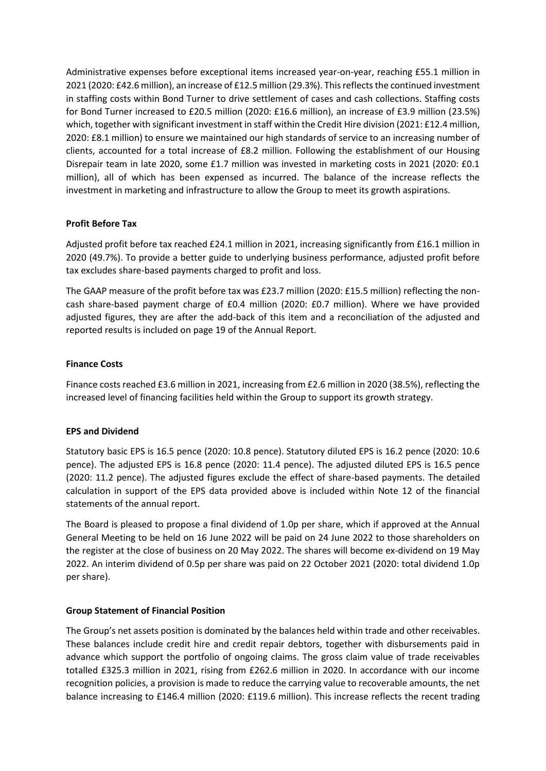Administrative expenses before exceptional items increased year-on-year, reaching £55.1 million in 2021 (2020: £42.6 million), an increase of £12.5 million (29.3%). This reflects the continued investment in staffing costs within Bond Turner to drive settlement of cases and cash collections. Staffing costs for Bond Turner increased to £20.5 million (2020: £16.6 million), an increase of £3.9 million (23.5%) which, together with significant investment in staff within the Credit Hire division (2021: £12.4 million, 2020: £8.1 million) to ensure we maintained our high standards of service to an increasing number of clients, accounted for a total increase of £8.2 million. Following the establishment of our Housing Disrepair team in late 2020, some £1.7 million was invested in marketing costs in 2021 (2020: £0.1 million), all of which has been expensed as incurred. The balance of the increase reflects the investment in marketing and infrastructure to allow the Group to meet its growth aspirations.

## **Profit Before Tax**

Adjusted profit before tax reached £24.1 million in 2021, increasing significantly from £16.1 million in 2020 (49.7%). To provide a better guide to underlying business performance, adjusted profit before tax excludes share-based payments charged to profit and loss.

The GAAP measure of the profit before tax was £23.7 million (2020: £15.5 million) reflecting the noncash share-based payment charge of £0.4 million (2020: £0.7 million). Where we have provided adjusted figures, they are after the add-back of this item and a reconciliation of the adjusted and reported results is included on page 19 of the Annual Report.

## **Finance Costs**

Finance costs reached £3.6 million in 2021, increasing from £2.6 million in 2020 (38.5%), reflecting the increased level of financing facilities held within the Group to support its growth strategy.

## **EPS and Dividend**

Statutory basic EPS is 16.5 pence (2020: 10.8 pence). Statutory diluted EPS is 16.2 pence (2020: 10.6 pence). The adjusted EPS is 16.8 pence (2020: 11.4 pence). The adjusted diluted EPS is 16.5 pence (2020: 11.2 pence). The adjusted figures exclude the effect of share-based payments. The detailed calculation in support of the EPS data provided above is included within Note 12 of the financial statements of the annual report.

The Board is pleased to propose a final dividend of 1.0p per share, which if approved at the Annual General Meeting to be held on 16 June 2022 will be paid on 24 June 2022 to those shareholders on the register at the close of business on 20 May 2022. The shares will become ex-dividend on 19 May 2022. An interim dividend of 0.5p per share was paid on 22 October 2021 (2020: total dividend 1.0p per share).

## **Group Statement of Financial Position**

The Group's net assets position is dominated by the balances held within trade and other receivables. These balances include credit hire and credit repair debtors, together with disbursements paid in advance which support the portfolio of ongoing claims. The gross claim value of trade receivables totalled £325.3 million in 2021, rising from £262.6 million in 2020. In accordance with our income recognition policies, a provision is made to reduce the carrying value to recoverable amounts, the net balance increasing to £146.4 million (2020: £119.6 million). This increase reflects the recent trading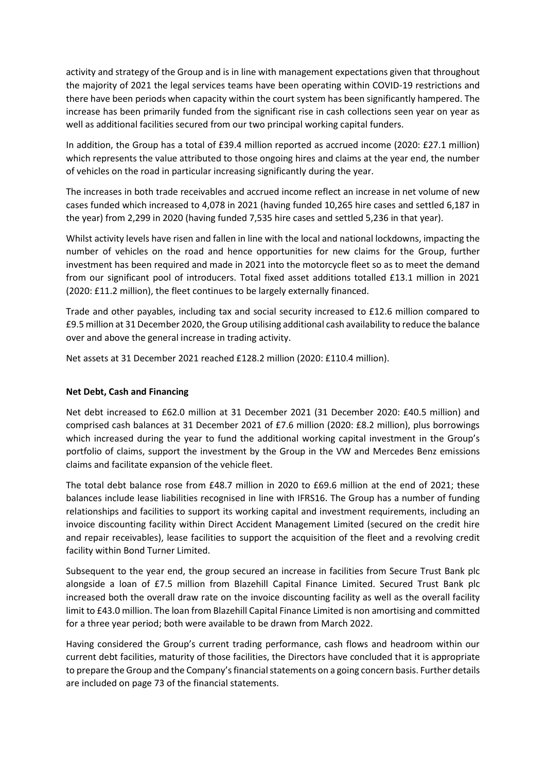activity and strategy of the Group and is in line with management expectations given that throughout the majority of 2021 the legal services teams have been operating within COVID-19 restrictions and there have been periods when capacity within the court system has been significantly hampered. The increase has been primarily funded from the significant rise in cash collections seen year on year as well as additional facilities secured from our two principal working capital funders.

In addition, the Group has a total of £39.4 million reported as accrued income (2020: £27.1 million) which represents the value attributed to those ongoing hires and claims at the year end, the number of vehicles on the road in particular increasing significantly during the year.

The increases in both trade receivables and accrued income reflect an increase in net volume of new cases funded which increased to 4,078 in 2021 (having funded 10,265 hire cases and settled 6,187 in the year) from 2,299 in 2020 (having funded 7,535 hire cases and settled 5,236 in that year).

Whilst activity levels have risen and fallen in line with the local and national lockdowns, impacting the number of vehicles on the road and hence opportunities for new claims for the Group, further investment has been required and made in 2021 into the motorcycle fleet so as to meet the demand from our significant pool of introducers. Total fixed asset additions totalled £13.1 million in 2021 (2020: £11.2 million), the fleet continues to be largely externally financed.

Trade and other payables, including tax and social security increased to £12.6 million compared to £9.5 million at 31 December 2020, the Group utilising additional cash availability to reduce the balance over and above the general increase in trading activity.

Net assets at 31 December 2021 reached £128.2 million (2020: £110.4 million).

## **Net Debt, Cash and Financing**

Net debt increased to £62.0 million at 31 December 2021 (31 December 2020: £40.5 million) and comprised cash balances at 31 December 2021 of £7.6 million (2020: £8.2 million), plus borrowings which increased during the year to fund the additional working capital investment in the Group's portfolio of claims, support the investment by the Group in the VW and Mercedes Benz emissions claims and facilitate expansion of the vehicle fleet.

The total debt balance rose from £48.7 million in 2020 to £69.6 million at the end of 2021; these balances include lease liabilities recognised in line with IFRS16. The Group has a number of funding relationships and facilities to support its working capital and investment requirements, including an invoice discounting facility within Direct Accident Management Limited (secured on the credit hire and repair receivables), lease facilities to support the acquisition of the fleet and a revolving credit facility within Bond Turner Limited.

Subsequent to the year end, the group secured an increase in facilities from Secure Trust Bank plc alongside a loan of £7.5 million from Blazehill Capital Finance Limited. Secured Trust Bank plc increased both the overall draw rate on the invoice discounting facility as well as the overall facility limit to £43.0 million. The loan from Blazehill Capital Finance Limited is non amortising and committed for a three year period; both were available to be drawn from March 2022.

Having considered the Group's current trading performance, cash flows and headroom within our current debt facilities, maturity of those facilities, the Directors have concluded that it is appropriate to prepare the Group and the Company's financial statements on a going concern basis. Further details are included on page 73 of the financial statements.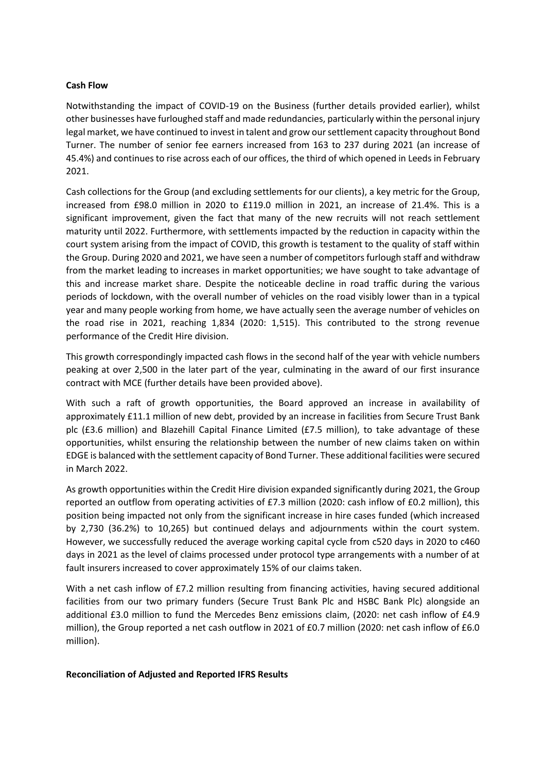## **Cash Flow**

Notwithstanding the impact of COVID-19 on the Business (further details provided earlier), whilst other businesses have furloughed staff and made redundancies, particularly within the personal injury legal market, we have continued to invest in talent and grow our settlement capacity throughout Bond Turner. The number of senior fee earners increased from 163 to 237 during 2021 (an increase of 45.4%) and continues to rise across each of our offices, the third of which opened in Leeds in February 2021.

Cash collections for the Group (and excluding settlements for our clients), a key metric for the Group, increased from £98.0 million in 2020 to £119.0 million in 2021, an increase of 21.4%. This is a significant improvement, given the fact that many of the new recruits will not reach settlement maturity until 2022. Furthermore, with settlements impacted by the reduction in capacity within the court system arising from the impact of COVID, this growth is testament to the quality of staff within the Group. During 2020 and 2021, we have seen a number of competitors furlough staff and withdraw from the market leading to increases in market opportunities; we have sought to take advantage of this and increase market share. Despite the noticeable decline in road traffic during the various periods of lockdown, with the overall number of vehicles on the road visibly lower than in a typical year and many people working from home, we have actually seen the average number of vehicles on the road rise in 2021, reaching 1,834 (2020: 1,515). This contributed to the strong revenue performance of the Credit Hire division.

This growth correspondingly impacted cash flows in the second half of the year with vehicle numbers peaking at over 2,500 in the later part of the year, culminating in the award of our first insurance contract with MCE (further details have been provided above).

With such a raft of growth opportunities, the Board approved an increase in availability of approximately £11.1 million of new debt, provided by an increase in facilities from Secure Trust Bank plc (£3.6 million) and Blazehill Capital Finance Limited (£7.5 million), to take advantage of these opportunities, whilst ensuring the relationship between the number of new claims taken on within EDGE is balanced with the settlement capacity of Bond Turner. These additional facilities were secured in March 2022.

As growth opportunities within the Credit Hire division expanded significantly during 2021, the Group reported an outflow from operating activities of £7.3 million (2020: cash inflow of £0.2 million), this position being impacted not only from the significant increase in hire cases funded (which increased by 2,730 (36.2%) to 10,265) but continued delays and adjournments within the court system. However, we successfully reduced the average working capital cycle from c520 days in 2020 to c460 days in 2021 as the level of claims processed under protocol type arrangements with a number of at fault insurers increased to cover approximately 15% of our claims taken.

With a net cash inflow of £7.2 million resulting from financing activities, having secured additional facilities from our two primary funders (Secure Trust Bank Plc and HSBC Bank Plc) alongside an additional £3.0 million to fund the Mercedes Benz emissions claim, (2020: net cash inflow of £4.9 million), the Group reported a net cash outflow in 2021 of £0.7 million (2020: net cash inflow of £6.0 million).

## **Reconciliation of Adjusted and Reported IFRS Results**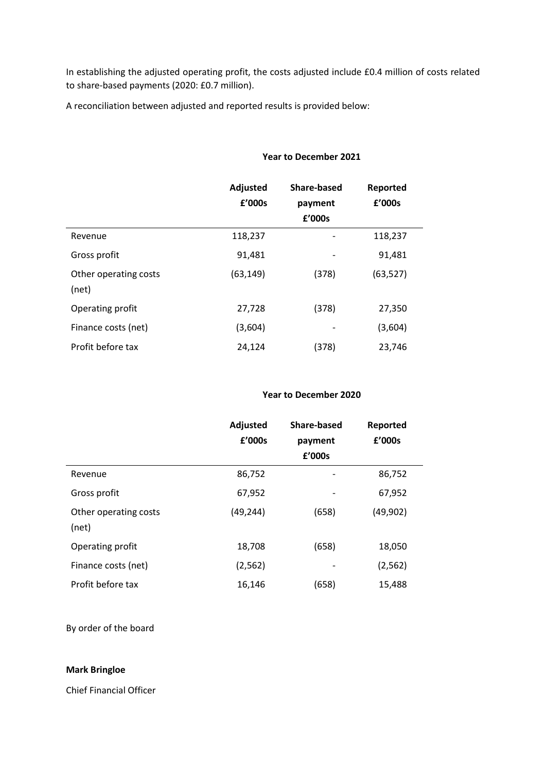In establishing the adjusted operating profit, the costs adjusted include £0.4 million of costs related to share-based payments (2020: £0.7 million).

A reconciliation between adjusted and reported results is provided below:

|                                | Adjusted<br>£'000s | <b>Share-based</b><br>payment<br>£'000s | Reported<br>£'000s |
|--------------------------------|--------------------|-----------------------------------------|--------------------|
| Revenue                        | 118,237            | -                                       | 118,237            |
| Gross profit                   | 91,481             |                                         | 91,481             |
| Other operating costs<br>(net) | (63, 149)          | (378)                                   | (63, 527)          |
| Operating profit               | 27,728             | (378)                                   | 27,350             |
| Finance costs (net)            | (3,604)            |                                         | (3,604)            |
| Profit before tax              | 24,124             | (378)                                   | 23,746             |

# **Year to December 2021**

## **Year to December 2020**

|                                | Adjusted<br>£'000s | Share-based<br>payment<br>£'000s | Reported<br>£'000s |
|--------------------------------|--------------------|----------------------------------|--------------------|
| Revenue                        | 86,752             |                                  | 86,752             |
| Gross profit                   | 67,952             |                                  | 67,952             |
| Other operating costs<br>(net) | (49, 244)          | (658)                            | (49, 902)          |
| Operating profit               | 18,708             | (658)                            | 18,050             |
| Finance costs (net)            | (2, 562)           |                                  | (2, 562)           |
| Profit before tax              | 16,146             | (658)                            | 15,488             |

By order of the board

## **Mark Bringloe**

Chief Financial Officer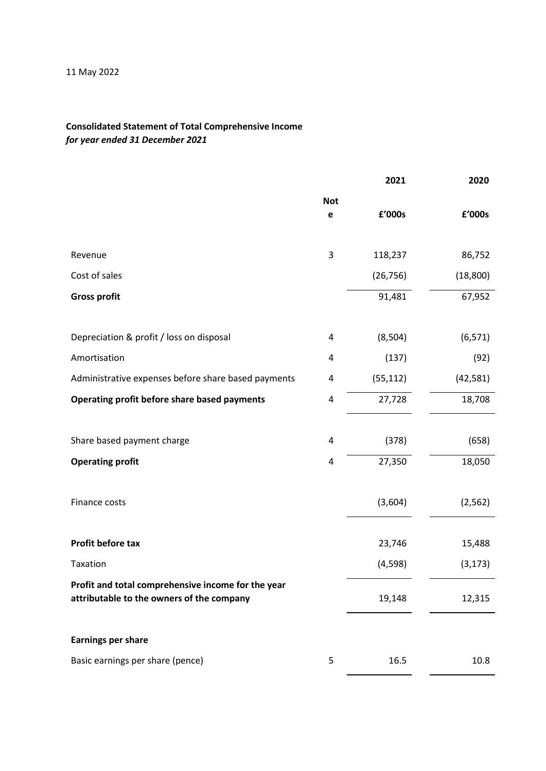# **Consolidated Statement of Total Comprehensive Income**  *for year ended 31 December 2021*

|                                                                                                 |                 | 2021      | 2020      |
|-------------------------------------------------------------------------------------------------|-----------------|-----------|-----------|
|                                                                                                 | <b>Not</b><br>e | £'000s    | £'000s    |
| Revenue                                                                                         | 3               | 118,237   | 86,752    |
| Cost of sales                                                                                   |                 | (26, 756) | (18, 800) |
| <b>Gross profit</b>                                                                             |                 | 91,481    | 67,952    |
| Depreciation & profit / loss on disposal                                                        | 4               | (8, 504)  | (6, 571)  |
| Amortisation                                                                                    | 4               | (137)     | (92)      |
| Administrative expenses before share based payments                                             | 4               | (55, 112) | (42, 581) |
| Operating profit before share based payments                                                    | 4               | 27,728    | 18,708    |
|                                                                                                 |                 |           |           |
| Share based payment charge                                                                      | 4               | (378)     | (658)     |
| <b>Operating profit</b>                                                                         | 4               | 27,350    | 18,050    |
| Finance costs                                                                                   |                 | (3,604)   | (2, 562)  |
| Profit before tax                                                                               |                 | 23,746    | 15,488    |
| Taxation                                                                                        |                 | (4, 598)  | (3, 173)  |
| Profit and total comprehensive income for the year<br>attributable to the owners of the company |                 | 19,148    | 12,315    |
| <b>Earnings per share</b>                                                                       |                 |           |           |
| Basic earnings per share (pence)                                                                | 5               | 16.5      | 10.8      |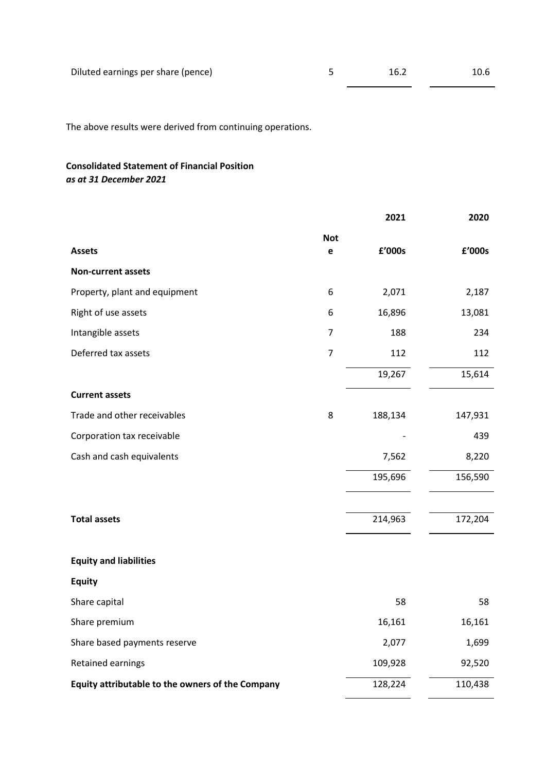The above results were derived from continuing operations.

# **Consolidated Statement of Financial Position**  *as at 31 December 2021*

|                                                  |                | 2021    | 2020    |
|--------------------------------------------------|----------------|---------|---------|
|                                                  | <b>Not</b>     |         |         |
| <b>Assets</b>                                    | $\mathbf e$    | £'000s  | £'000s  |
| <b>Non-current assets</b>                        |                |         |         |
| Property, plant and equipment                    | 6              | 2,071   | 2,187   |
| Right of use assets                              | 6              | 16,896  | 13,081  |
| Intangible assets                                | 7              | 188     | 234     |
| Deferred tax assets                              | $\overline{7}$ | 112     | 112     |
|                                                  |                | 19,267  | 15,614  |
| <b>Current assets</b>                            |                |         |         |
| Trade and other receivables                      | 8              | 188,134 | 147,931 |
| Corporation tax receivable                       |                |         | 439     |
| Cash and cash equivalents                        |                | 7,562   | 8,220   |
|                                                  |                | 195,696 | 156,590 |
|                                                  |                |         |         |
| <b>Total assets</b>                              |                | 214,963 | 172,204 |
|                                                  |                |         |         |
| <b>Equity and liabilities</b>                    |                |         |         |
| <b>Equity</b>                                    |                |         |         |
| Share capital                                    |                | 58      | 58      |
| Share premium                                    |                | 16,161  | 16,161  |
| Share based payments reserve                     |                | 2,077   | 1,699   |
| Retained earnings                                |                | 109,928 | 92,520  |
| Equity attributable to the owners of the Company |                | 128,224 | 110,438 |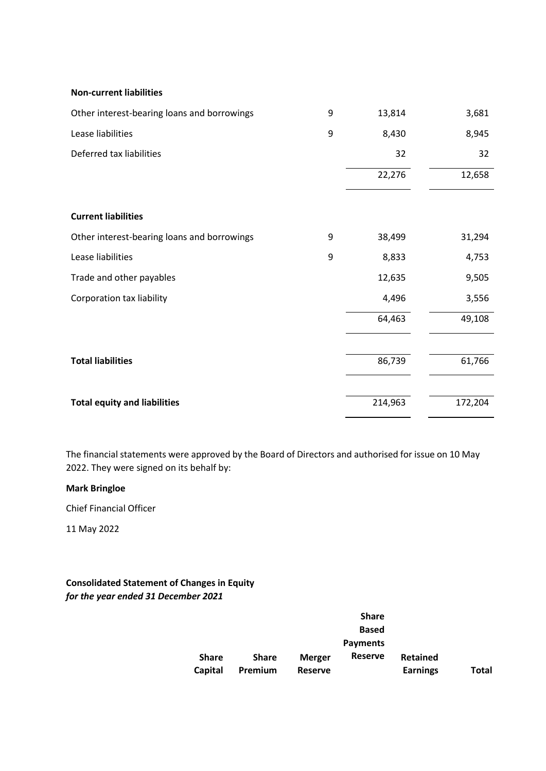#### **Non-current liabilities**

| Other interest-bearing loans and borrowings | 9 | 13,814  | 3,681   |
|---------------------------------------------|---|---------|---------|
| Lease liabilities                           | 9 | 8,430   | 8,945   |
| Deferred tax liabilities                    |   | 32      | 32      |
|                                             |   | 22,276  | 12,658  |
| <b>Current liabilities</b>                  |   |         |         |
| Other interest-bearing loans and borrowings | 9 | 38,499  | 31,294  |
| Lease liabilities                           | 9 | 8,833   | 4,753   |
| Trade and other payables                    |   | 12,635  | 9,505   |
| <b>Corporation tax liability</b>            |   | 4,496   | 3,556   |
|                                             |   | 64,463  | 49,108  |
| <b>Total liabilities</b>                    |   | 86,739  | 61,766  |
| <b>Total equity and liabilities</b>         |   | 214,963 | 172,204 |

The financial statements were approved by the Board of Directors and authorised for issue on 10 May 2022. They were signed on its behalf by:

## **Mark Bringloe**

Chief Financial Officer

11 May 2022

# **Consolidated Statement of Changes in Equity**  *for the year ended 31 December 2021*

|              |              |                | <b>Share</b>    |                 |       |
|--------------|--------------|----------------|-----------------|-----------------|-------|
|              |              |                | <b>Based</b>    |                 |       |
|              |              |                | <b>Payments</b> |                 |       |
| <b>Share</b> | <b>Share</b> | <b>Merger</b>  | Reserve         | <b>Retained</b> |       |
| Capital      | Premium      | <b>Reserve</b> |                 | <b>Earnings</b> | Total |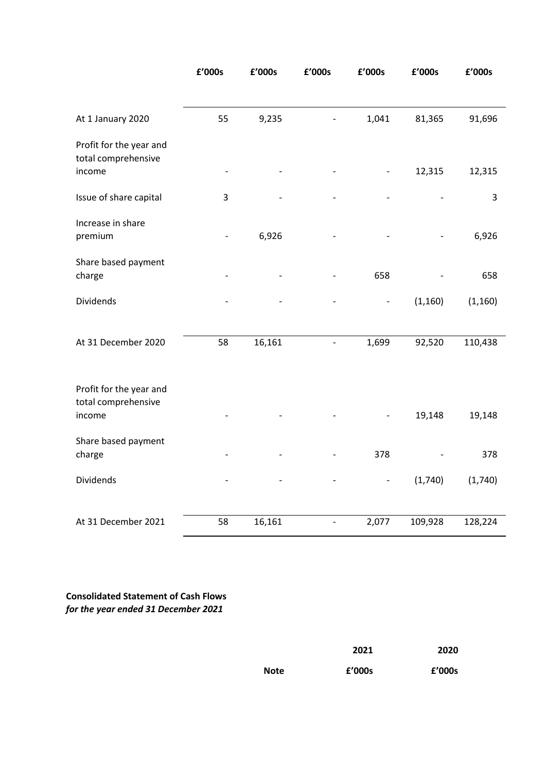|                                                | £'000s | £'000s | £'000s                       | £'000s                   | £'000s   | £'000s   |
|------------------------------------------------|--------|--------|------------------------------|--------------------------|----------|----------|
|                                                |        |        |                              |                          |          |          |
| At 1 January 2020                              | 55     | 9,235  |                              | 1,041                    | 81,365   | 91,696   |
| Profit for the year and<br>total comprehensive |        |        |                              |                          |          |          |
| income                                         |        |        |                              |                          | 12,315   | 12,315   |
| Issue of share capital                         | 3      |        |                              |                          |          | 3        |
| Increase in share<br>premium                   |        | 6,926  |                              |                          |          | 6,926    |
| Share based payment<br>charge                  |        |        |                              | 658                      |          | 658      |
| Dividends                                      |        |        |                              | $\overline{\phantom{a}}$ | (1, 160) | (1, 160) |
|                                                |        |        |                              |                          |          |          |
| At 31 December 2020                            | 58     | 16,161 | $\qquad \qquad \blacksquare$ | 1,699                    | 92,520   | 110,438  |
| Profit for the year and<br>total comprehensive |        |        |                              |                          |          |          |
| income                                         |        |        |                              |                          | 19,148   | 19,148   |
| Share based payment<br>charge                  |        |        |                              | 378                      |          | 378      |
| <b>Dividends</b>                               |        |        |                              | $\qquad \qquad -$        | (1,740)  | (1,740)  |
|                                                |        |        |                              |                          |          |          |
| At 31 December 2021                            | 58     | 16,161 | $\overline{a}$               | 2,077                    | 109,928  | 128,224  |

**Consolidated Statement of Cash Flows**  *for the year ended 31 December 2021*

|      | 2021   | 2020   |
|------|--------|--------|
| Note | f'000s | f'000s |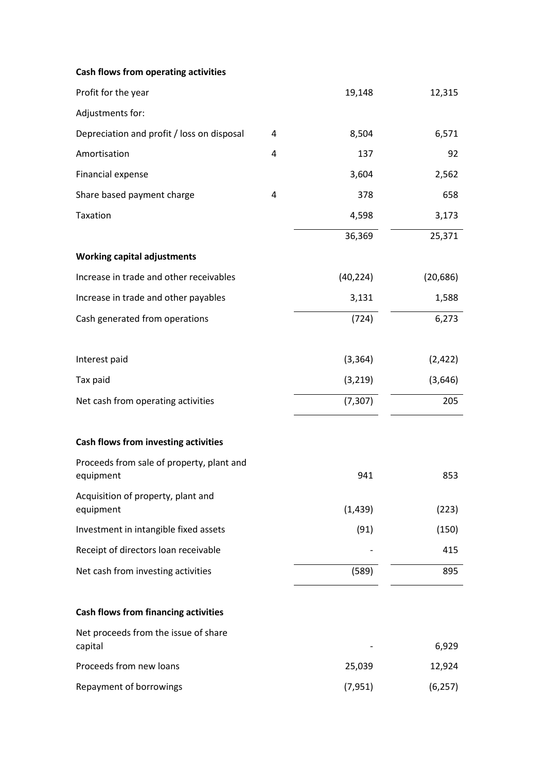| Cash flows from operating activities                   |   |           |           |
|--------------------------------------------------------|---|-----------|-----------|
| Profit for the year                                    |   | 19,148    | 12,315    |
| Adjustments for:                                       |   |           |           |
| Depreciation and profit / loss on disposal             | 4 | 8,504     | 6,571     |
| Amortisation                                           | 4 | 137       | 92        |
| Financial expense                                      |   | 3,604     | 2,562     |
| Share based payment charge                             | 4 | 378       | 658       |
| Taxation                                               |   | 4,598     | 3,173     |
|                                                        |   | 36,369    | 25,371    |
| <b>Working capital adjustments</b>                     |   |           |           |
| Increase in trade and other receivables                |   | (40, 224) | (20, 686) |
| Increase in trade and other payables                   |   | 3,131     | 1,588     |
| Cash generated from operations                         |   | (724)     | 6,273     |
| Interest paid                                          |   | (3, 364)  | (2, 422)  |
| Tax paid                                               |   | (3, 219)  | (3,646)   |
| Net cash from operating activities                     |   | (7, 307)  | 205       |
| Cash flows from investing activities                   |   |           |           |
| Proceeds from sale of property, plant and<br>equipment |   | 941       | 853       |
| Acquisition of property, plant and<br>equipment        |   | (1, 439)  | (223)     |
| Investment in intangible fixed assets                  |   | (91)      | (150)     |
| Receipt of directors loan receivable                   |   |           | 415       |
| Net cash from investing activities                     |   | (589)     | 895       |
| <b>Cash flows from financing activities</b>            |   |           |           |
| Net proceeds from the issue of share<br>capital        |   |           | 6,929     |
| Proceeds from new loans                                |   | 25,039    | 12,924    |
| Repayment of borrowings                                |   | (7, 951)  | (6, 257)  |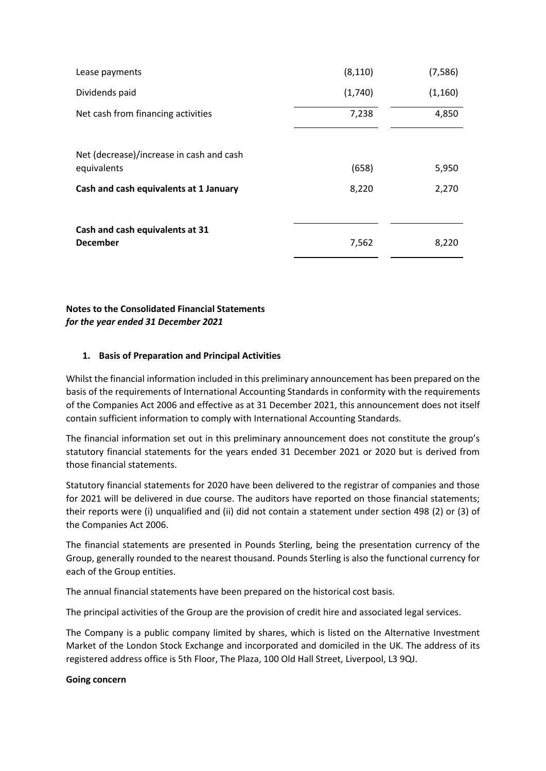| Lease payments                           | (8, 110) | (7, 586) |
|------------------------------------------|----------|----------|
| Dividends paid                           | (1,740)  | (1, 160) |
| Net cash from financing activities       | 7,238    | 4,850    |
| Net (decrease)/increase in cash and cash |          |          |
| equivalents                              | (658)    | 5,950    |
| Cash and cash equivalents at 1 January   | 8,220    | 2,270    |
| Cash and cash equivalents at 31          |          |          |
| <b>December</b>                          | 7,562    | 8,220    |

**Notes to the Consolidated Financial Statements**  *for the year ended 31 December 2021*

## **1. Basis of Preparation and Principal Activities**

Whilst the financial information included in this preliminary announcement has been prepared on the basis of the requirements of International Accounting Standards in conformity with the requirements of the Companies Act 2006 and effective as at 31 December 2021, this announcement does not itself contain sufficient information to comply with International Accounting Standards.

The financial information set out in this preliminary announcement does not constitute the group's statutory financial statements for the years ended 31 December 2021 or 2020 but is derived from those financial statements.

Statutory financial statements for 2020 have been delivered to the registrar of companies and those for 2021 will be delivered in due course. The auditors have reported on those financial statements; their reports were (i) unqualified and (ii) did not contain a statement under section 498 (2) or (3) of the Companies Act 2006.

The financial statements are presented in Pounds Sterling, being the presentation currency of the Group, generally rounded to the nearest thousand. Pounds Sterling is also the functional currency for each of the Group entities.

The annual financial statements have been prepared on the historical cost basis.

The principal activities of the Group are the provision of credit hire and associated legal services.

The Company is a public company limited by shares, which is listed on the Alternative Investment Market of the London Stock Exchange and incorporated and domiciled in the UK. The address of its registered address office is 5th Floor, The Plaza, 100 Old Hall Street, Liverpool, L3 9QJ.

## **Going concern**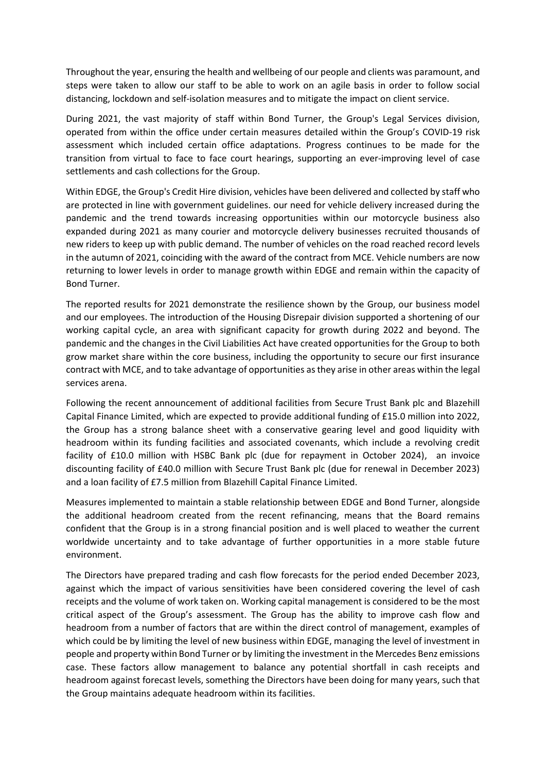Throughout the year, ensuring the health and wellbeing of our people and clients was paramount, and steps were taken to allow our staff to be able to work on an agile basis in order to follow social distancing, lockdown and self-isolation measures and to mitigate the impact on client service.

During 2021, the vast majority of staff within Bond Turner, the Group's Legal Services division, operated from within the office under certain measures detailed within the Group's COVID-19 risk assessment which included certain office adaptations. Progress continues to be made for the transition from virtual to face to face court hearings, supporting an ever-improving level of case settlements and cash collections for the Group.

Within EDGE, the Group's Credit Hire division, vehicles have been delivered and collected by staff who are protected in line with government guidelines. our need for vehicle delivery increased during the pandemic and the trend towards increasing opportunities within our motorcycle business also expanded during 2021 as many courier and motorcycle delivery businesses recruited thousands of new riders to keep up with public demand. The number of vehicles on the road reached record levels in the autumn of 2021, coinciding with the award of the contract from MCE. Vehicle numbers are now returning to lower levels in order to manage growth within EDGE and remain within the capacity of Bond Turner.

The reported results for 2021 demonstrate the resilience shown by the Group, our business model and our employees. The introduction of the Housing Disrepair division supported a shortening of our working capital cycle, an area with significant capacity for growth during 2022 and beyond. The pandemic and the changes in the Civil Liabilities Act have created opportunities for the Group to both grow market share within the core business, including the opportunity to secure our first insurance contract with MCE, and to take advantage of opportunities as they arise in other areas within the legal services arena.

Following the recent announcement of additional facilities from Secure Trust Bank plc and Blazehill Capital Finance Limited, which are expected to provide additional funding of £15.0 million into 2022, the Group has a strong balance sheet with a conservative gearing level and good liquidity with headroom within its funding facilities and associated covenants, which include a revolving credit facility of £10.0 million with HSBC Bank plc (due for repayment in October 2024), an invoice discounting facility of £40.0 million with Secure Trust Bank plc (due for renewal in December 2023) and a loan facility of £7.5 million from Blazehill Capital Finance Limited.

Measures implemented to maintain a stable relationship between EDGE and Bond Turner, alongside the additional headroom created from the recent refinancing, means that the Board remains confident that the Group is in a strong financial position and is well placed to weather the current worldwide uncertainty and to take advantage of further opportunities in a more stable future environment.

The Directors have prepared trading and cash flow forecasts for the period ended December 2023, against which the impact of various sensitivities have been considered covering the level of cash receipts and the volume of work taken on. Working capital management is considered to be the most critical aspect of the Group's assessment. The Group has the ability to improve cash flow and headroom from a number of factors that are within the direct control of management, examples of which could be by limiting the level of new business within EDGE, managing the level of investment in people and property within Bond Turner or by limiting the investment in the Mercedes Benz emissions case. These factors allow management to balance any potential shortfall in cash receipts and headroom against forecast levels, something the Directors have been doing for many years, such that the Group maintains adequate headroom within its facilities.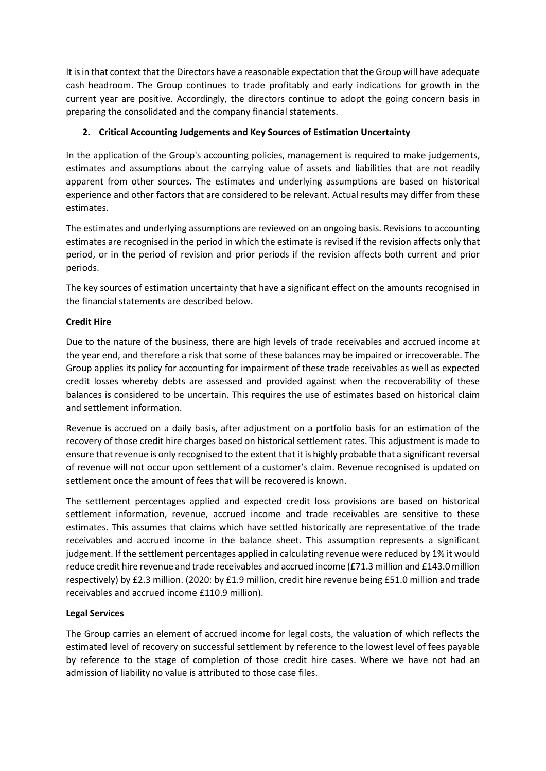It is in that context that the Directors have a reasonable expectation that the Group will have adequate cash headroom. The Group continues to trade profitably and early indications for growth in the current year are positive. Accordingly, the directors continue to adopt the going concern basis in preparing the consolidated and the company financial statements.

## **2. Critical Accounting Judgements and Key Sources of Estimation Uncertainty**

In the application of the Group's accounting policies, management is required to make judgements, estimates and assumptions about the carrying value of assets and liabilities that are not readily apparent from other sources. The estimates and underlying assumptions are based on historical experience and other factors that are considered to be relevant. Actual results may differ from these estimates.

The estimates and underlying assumptions are reviewed on an ongoing basis. Revisions to accounting estimates are recognised in the period in which the estimate is revised if the revision affects only that period, or in the period of revision and prior periods if the revision affects both current and prior periods.

The key sources of estimation uncertainty that have a significant effect on the amounts recognised in the financial statements are described below.

## **Credit Hire**

Due to the nature of the business, there are high levels of trade receivables and accrued income at the year end, and therefore a risk that some of these balances may be impaired or irrecoverable. The Group applies its policy for accounting for impairment of these trade receivables as well as expected credit losses whereby debts are assessed and provided against when the recoverability of these balances is considered to be uncertain. This requires the use of estimates based on historical claim and settlement information.

Revenue is accrued on a daily basis, after adjustment on a portfolio basis for an estimation of the recovery of those credit hire charges based on historical settlement rates. This adjustment is made to ensure that revenue is only recognised to the extent that it is highly probable that a significant reversal of revenue will not occur upon settlement of a customer's claim. Revenue recognised is updated on settlement once the amount of fees that will be recovered is known.

The settlement percentages applied and expected credit loss provisions are based on historical settlement information, revenue, accrued income and trade receivables are sensitive to these estimates. This assumes that claims which have settled historically are representative of the trade receivables and accrued income in the balance sheet. This assumption represents a significant judgement. If the settlement percentages applied in calculating revenue were reduced by 1% it would reduce credit hire revenue and trade receivables and accrued income (£71.3 million and £143.0 million respectively) by £2.3 million. (2020: by £1.9 million, credit hire revenue being £51.0 million and trade receivables and accrued income £110.9 million).

## **Legal Services**

The Group carries an element of accrued income for legal costs, the valuation of which reflects the estimated level of recovery on successful settlement by reference to the lowest level of fees payable by reference to the stage of completion of those credit hire cases. Where we have not had an admission of liability no value is attributed to those case files.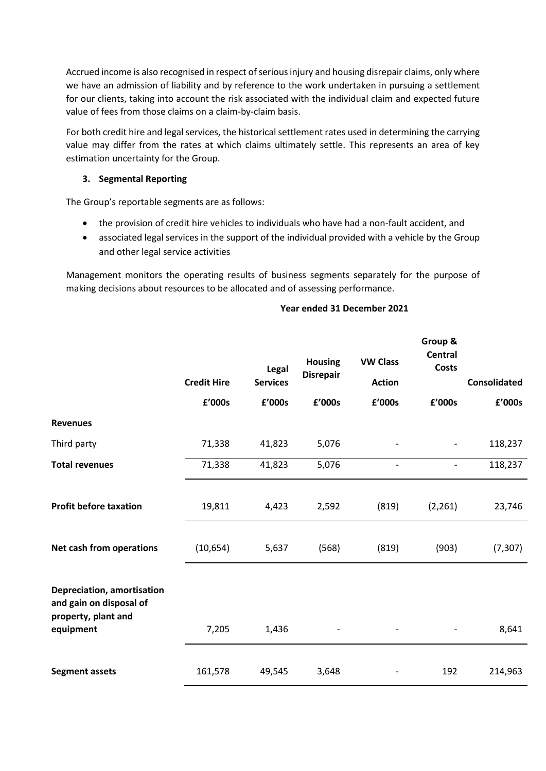Accrued income is also recognised in respect of serious injury and housing disrepair claims, only where we have an admission of liability and by reference to the work undertaken in pursuing a settlement for our clients, taking into account the risk associated with the individual claim and expected future value of fees from those claims on a claim-by-claim basis.

For both credit hire and legal services, the historical settlement rates used in determining the carrying value may differ from the rates at which claims ultimately settle. This represents an area of key estimation uncertainty for the Group.

## **3. Segmental Reporting**

The Group's reportable segments are as follows:

- the provision of credit hire vehicles to individuals who have had a non-fault accident, and
- associated legal services in the support of the individual provided with a vehicle by the Group and other legal service activities

Management monitors the operating results of business segments separately for the purpose of making decisions about resources to be allocated and of assessing performance.

## **Year ended 31 December 2021**

|                                                                                           | <b>Credit Hire</b> | Legal<br><b>Services</b> | <b>Housing</b><br><b>Disrepair</b> | <b>VW Class</b><br><b>Action</b> | Group &<br><b>Central</b><br><b>Costs</b> | <b>Consolidated</b> |
|-------------------------------------------------------------------------------------------|--------------------|--------------------------|------------------------------------|----------------------------------|-------------------------------------------|---------------------|
|                                                                                           | £'000s             | £'000s                   | £'000s                             | £'000s                           | £'000s                                    | £'000s              |
| <b>Revenues</b>                                                                           |                    |                          |                                    |                                  |                                           |                     |
| Third party                                                                               | 71,338             | 41,823                   | 5,076                              |                                  |                                           | 118,237             |
| <b>Total revenues</b>                                                                     | 71,338             | 41,823                   | 5,076                              |                                  | $\overline{a}$                            | 118,237             |
| <b>Profit before taxation</b>                                                             | 19,811             | 4,423                    | 2,592                              | (819)                            | (2, 261)                                  | 23,746              |
| Net cash from operations                                                                  | (10, 654)          | 5,637                    | (568)                              | (819)                            | (903)                                     | (7, 307)            |
| Depreciation, amortisation<br>and gain on disposal of<br>property, plant and<br>equipment | 7,205              | 1,436                    |                                    |                                  |                                           | 8,641               |
| <b>Segment assets</b>                                                                     | 161,578            | 49,545                   | 3,648                              |                                  | 192                                       | 214,963             |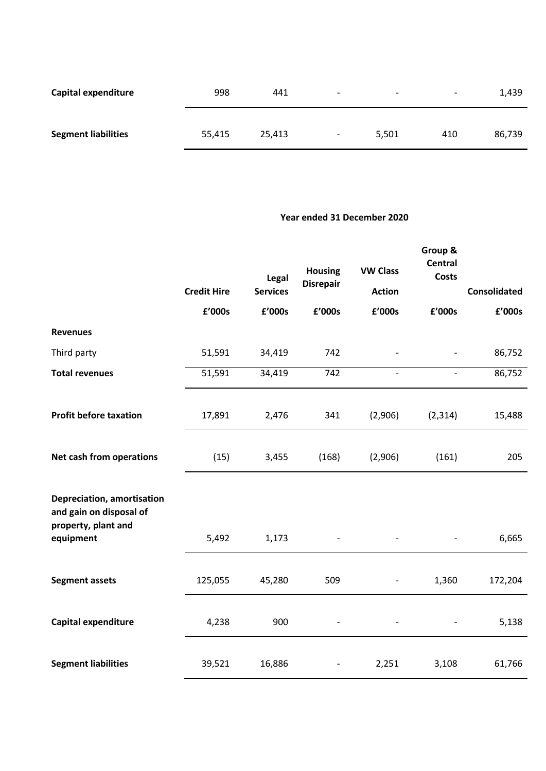| Capital expenditure        | 998    | 441    | $\overline{\phantom{0}}$ | $\overline{\phantom{a}}$ | $\overline{\phantom{a}}$ | 1,439  |
|----------------------------|--------|--------|--------------------------|--------------------------|--------------------------|--------|
| <b>Segment liabilities</b> | 55,415 | 25,413 | $\overline{\phantom{0}}$ | 5,501                    | 410                      | 86,739 |

## **Year ended 31 December 2020**

|                                                                              | <b>Credit Hire</b> | Legal<br><b>Services</b> | <b>Housing</b><br><b>Disrepair</b> | <b>VW Class</b><br><b>Action</b> | Group &<br><b>Central</b><br><b>Costs</b> | <b>Consolidated</b> |
|------------------------------------------------------------------------------|--------------------|--------------------------|------------------------------------|----------------------------------|-------------------------------------------|---------------------|
|                                                                              |                    |                          |                                    |                                  |                                           |                     |
|                                                                              | £'000s             | £'000s                   | £'000s                             | £'000s                           | £'000s                                    | £'000s              |
| <b>Revenues</b>                                                              |                    |                          |                                    |                                  |                                           |                     |
| Third party                                                                  | 51,591             | 34,419                   | 742                                |                                  |                                           | 86,752              |
| <b>Total revenues</b>                                                        | 51,591             | 34,419                   | 742                                | $\overline{\phantom{a}}$         |                                           | 86,752              |
|                                                                              |                    |                          |                                    |                                  |                                           |                     |
| <b>Profit before taxation</b>                                                | 17,891             | 2,476                    | 341                                | (2,906)                          | (2, 314)                                  | 15,488              |
| Net cash from operations                                                     | (15)               | 3,455                    | (168)                              | (2,906)                          | (161)                                     | 205                 |
| Depreciation, amortisation<br>and gain on disposal of<br>property, plant and |                    |                          |                                    |                                  |                                           |                     |
| equipment                                                                    | 5,492              | 1,173                    |                                    |                                  |                                           | 6,665               |
| <b>Segment assets</b>                                                        | 125,055            | 45,280                   | 509                                | $\qquad \qquad -$                | 1,360                                     | 172,204             |
| Capital expenditure                                                          | 4,238              | 900                      |                                    |                                  |                                           | 5,138               |
| <b>Segment liabilities</b>                                                   | 39,521             | 16,886                   |                                    | 2,251                            | 3,108                                     | 61,766              |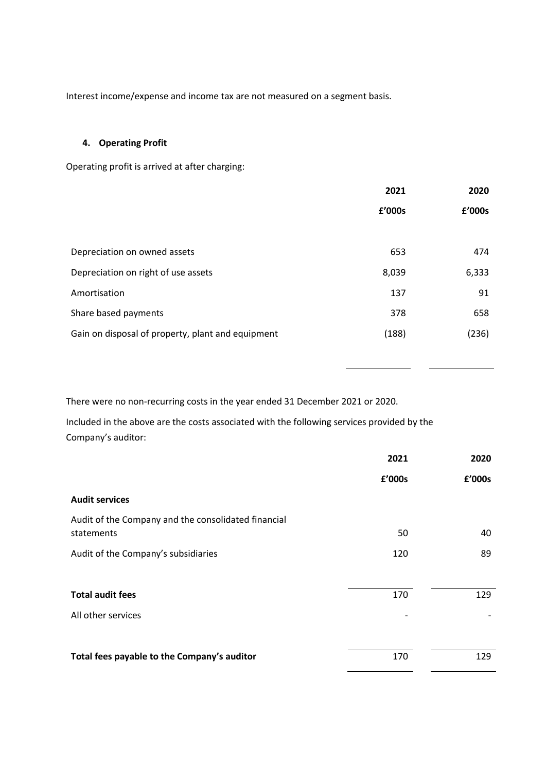Interest income/expense and income tax are not measured on a segment basis.

## **4. Operating Profit**

Operating profit is arrived at after charging:

|                                                   | 2021   | 2020   |
|---------------------------------------------------|--------|--------|
|                                                   | £'000s | £'000s |
|                                                   |        |        |
| Depreciation on owned assets                      | 653    | 474    |
| Depreciation on right of use assets               | 8,039  | 6,333  |
| Amortisation                                      | 137    | 91     |
| Share based payments                              | 378    | 658    |
| Gain on disposal of property, plant and equipment | (188)  | (236)  |
|                                                   |        |        |

There were no non-recurring costs in the year ended 31 December 2021 or 2020.

Included in the above are the costs associated with the following services provided by the Company's auditor:

|                                                     | 2021   | 2020   |
|-----------------------------------------------------|--------|--------|
|                                                     | £'000s | £'000s |
| <b>Audit services</b>                               |        |        |
| Audit of the Company and the consolidated financial |        |        |
| statements                                          | 50     | 40     |
| Audit of the Company's subsidiaries                 | 120    | 89     |
|                                                     |        |        |
| <b>Total audit fees</b>                             | 170    | 129    |
| All other services                                  |        |        |
|                                                     |        |        |
| Total fees payable to the Company's auditor         | 170    | 129    |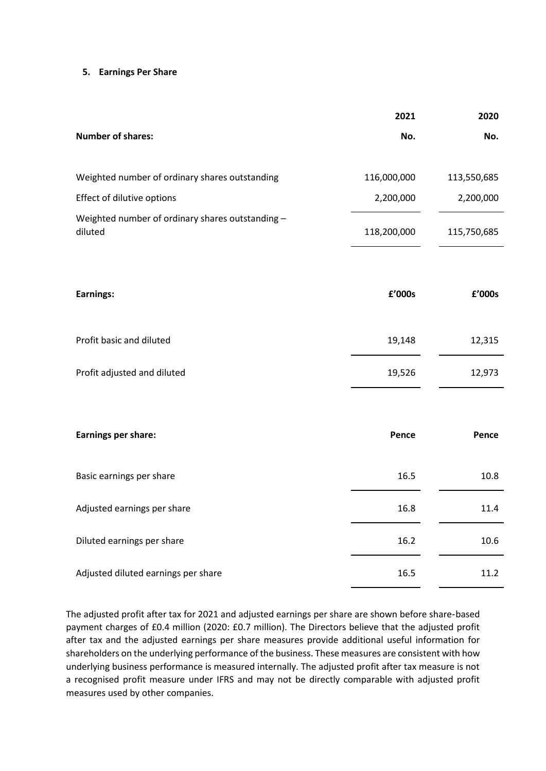#### **5. Earnings Per Share**

|                                                             | 2021        | 2020        |
|-------------------------------------------------------------|-------------|-------------|
| <b>Number of shares:</b>                                    | No.         | No.         |
| Weighted number of ordinary shares outstanding              | 116,000,000 | 113,550,685 |
| Effect of dilutive options                                  | 2,200,000   | 2,200,000   |
| Weighted number of ordinary shares outstanding -<br>diluted | 118,200,000 | 115,750,685 |
| Earnings:                                                   | £'000s      | £'000s      |
|                                                             |             |             |
| Profit basic and diluted                                    | 19,148      | 12,315      |
| Profit adjusted and diluted                                 | 19,526      | 12,973      |
|                                                             |             |             |
| <b>Earnings per share:</b>                                  | Pence       | Pence       |
| Basic earnings per share                                    | 16.5        | 10.8        |
| Adjusted earnings per share                                 | 16.8        | 11.4        |
| Diluted earnings per share                                  | 16.2        | 10.6        |
| Adjusted diluted earnings per share                         | 16.5        | 11.2        |

The adjusted profit after tax for 2021 and adjusted earnings per share are shown before share‑based payment charges of £0.4 million (2020: £0.7 million). The Directors believe that the adjusted profit after tax and the adjusted earnings per share measures provide additional useful information for shareholders on the underlying performance of the business. These measures are consistent with how underlying business performance is measured internally. The adjusted profit after tax measure is not a recognised profit measure under IFRS and may not be directly comparable with adjusted profit measures used by other companies.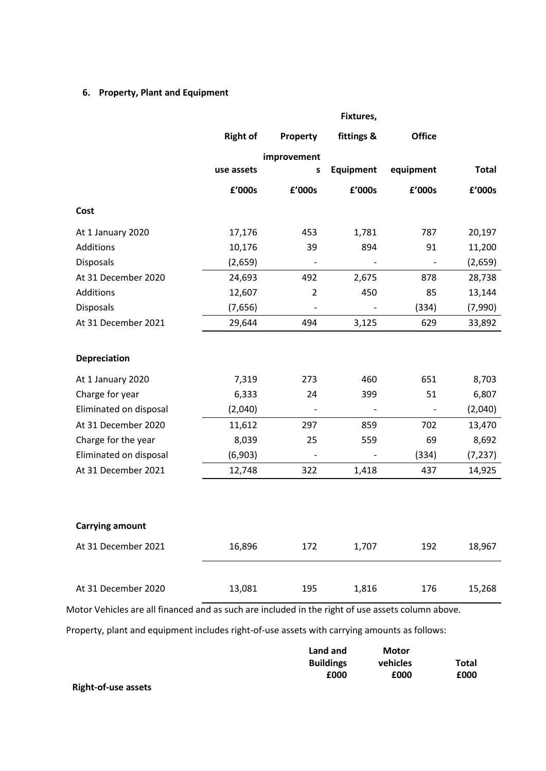# **6. Property, Plant and Equipment**

|                        |                 |                              | Fixtures,        |                          |              |
|------------------------|-----------------|------------------------------|------------------|--------------------------|--------------|
|                        | <b>Right of</b> | Property                     | fittings &       | <b>Office</b>            |              |
|                        |                 | improvement                  |                  |                          |              |
|                        | use assets      | S                            | <b>Equipment</b> | equipment                | <b>Total</b> |
|                        | £'000s          | £'000s                       | £'000s           | £'000s                   | £'000s       |
| Cost                   |                 |                              |                  |                          |              |
| At 1 January 2020      | 17,176          | 453                          | 1,781            | 787                      | 20,197       |
| Additions              | 10,176          | 39                           | 894              | 91                       | 11,200       |
| <b>Disposals</b>       | (2,659)         | $\overline{\phantom{a}}$     |                  | $\overline{\phantom{a}}$ | (2,659)      |
| At 31 December 2020    | 24,693          | 492                          | 2,675            | 878                      | 28,738       |
| Additions              | 12,607          | $\overline{2}$               | 450              | 85                       | 13,144       |
| Disposals              | (7,656)         | $\overline{\phantom{a}}$     |                  | (334)                    | (7,990)      |
| At 31 December 2021    | 29,644          | 494                          | 3,125            | 629                      | 33,892       |
| Depreciation           |                 |                              |                  |                          |              |
| At 1 January 2020      | 7,319           | 273                          | 460              | 651                      | 8,703        |
| Charge for year        | 6,333           | 24                           | 399              | 51                       | 6,807        |
| Eliminated on disposal | (2,040)         | $\qquad \qquad \blacksquare$ |                  | $\overline{\phantom{a}}$ | (2,040)      |
| At 31 December 2020    | 11,612          | 297                          | 859              | 702                      | 13,470       |
| Charge for the year    | 8,039           | 25                           | 559              | 69                       | 8,692        |
| Eliminated on disposal | (6,903)         | $\qquad \qquad \blacksquare$ |                  | (334)                    | (7, 237)     |
| At 31 December 2021    | 12,748          | 322                          | 1,418            | 437                      | 14,925       |
|                        |                 |                              |                  |                          |              |
| <b>Carrying amount</b> |                 |                              |                  |                          |              |
| At 31 December 2021    | 16,896          | 172                          | 1,707            | 192                      | 18,967       |
| At 31 December 2020    | 13,081          | 195                          | 1,816            | 176                      | 15,268       |
|                        |                 |                              |                  |                          |              |

Motor Vehicles are all financed and as such are included in the right of use assets column above.

Property, plant and equipment includes right-of-use assets with carrying amounts as follows:

|                            | Land and         | Motor    |       |
|----------------------------|------------------|----------|-------|
|                            | <b>Buildings</b> | vehicles | Total |
|                            | £000             | £000     | £000  |
| <b>Right-of-use assets</b> |                  |          |       |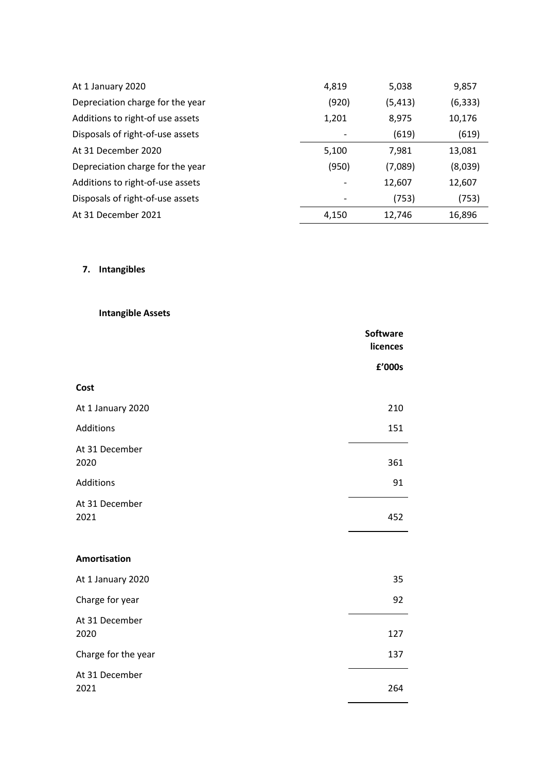| At 1 January 2020                | 4,819                        | 5,038    | 9,857    |
|----------------------------------|------------------------------|----------|----------|
| Depreciation charge for the year | (920)                        | (5, 413) | (6, 333) |
| Additions to right-of use assets | 1,201                        | 8,975    | 10,176   |
| Disposals of right-of-use assets | $\qquad \qquad \blacksquare$ | (619)    | (619)    |
| At 31 December 2020              | 5,100                        | 7,981    | 13,081   |
| Depreciation charge for the year | (950)                        | (7,089)  | (8,039)  |
| Additions to right-of-use assets |                              | 12,607   | 12,607   |
| Disposals of right-of-use assets |                              | (753)    | (753)    |
| At 31 December 2021              | 4,150                        | 12,746   | 16,896   |

# **7. Intangibles**

**Intangible Assets**

|                        | <b>Software</b><br>licences |
|------------------------|-----------------------------|
|                        | £'000s                      |
| Cost                   |                             |
| At 1 January 2020      | 210                         |
| Additions              | 151                         |
| At 31 December<br>2020 | 361                         |
| Additions              | 91                          |
| At 31 December<br>2021 | 452                         |
| <b>Amortisation</b>    |                             |
| At 1 January 2020      | 35                          |
| Charge for year        | 92                          |
| At 31 December<br>2020 | 127                         |
| Charge for the year    | 137                         |
| At 31 December<br>2021 | 264                         |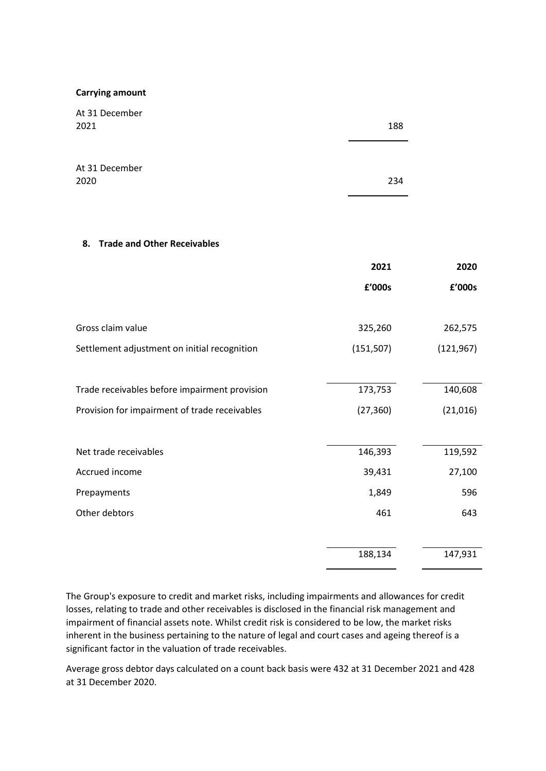#### **Carrying amount**

| At 31 December<br>2021                        | 188        |            |
|-----------------------------------------------|------------|------------|
| At 31 December<br>2020                        | 234        |            |
| <b>Trade and Other Receivables</b><br>8.      |            |            |
|                                               | 2021       | 2020       |
|                                               | £'000s     | £'000s     |
| Gross claim value                             | 325,260    | 262,575    |
| Settlement adjustment on initial recognition  | (151, 507) | (121, 967) |
| Trade receivables before impairment provision | 173,753    | 140,608    |
| Provision for impairment of trade receivables | (27, 360)  | (21, 016)  |
| Net trade receivables                         | 146,393    | 119,592    |
| Accrued income                                | 39,431     | 27,100     |
| Prepayments                                   | 1,849      | 596        |
| Other debtors                                 | 461        | 643        |
|                                               | 188,134    | 147,931    |

The Group's exposure to credit and market risks, including impairments and allowances for credit losses, relating to trade and other receivables is disclosed in the financial risk management and impairment of financial assets note. Whilst credit risk is considered to be low, the market risks inherent in the business pertaining to the nature of legal and court cases and ageing thereof is a significant factor in the valuation of trade receivables.

Average gross debtor days calculated on a count back basis were 432 at 31 December 2021 and 428 at 31 December 2020.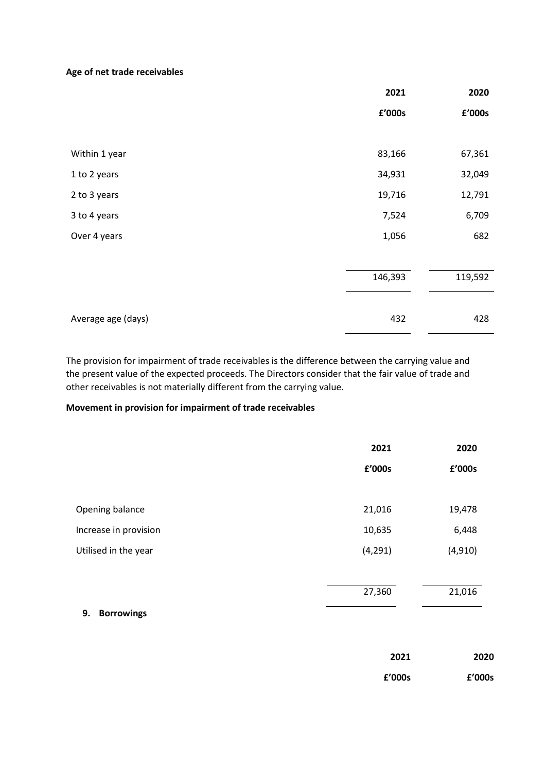## **Age of net trade receivables**

|                    | 2021    | 2020    |
|--------------------|---------|---------|
|                    | £'000s  | £'000s  |
|                    |         |         |
| Within 1 year      | 83,166  | 67,361  |
| 1 to 2 years       | 34,931  | 32,049  |
| 2 to 3 years       | 19,716  | 12,791  |
| 3 to 4 years       | 7,524   | 6,709   |
| Over 4 years       | 1,056   | 682     |
|                    |         |         |
|                    | 146,393 | 119,592 |
|                    |         |         |
| Average age (days) | 432     | 428     |

The provision for impairment of trade receivables is the difference between the carrying value and the present value of the expected proceeds. The Directors consider that the fair value of trade and other receivables is not materially different from the carrying value.

## **Movement in provision for impairment of trade receivables**

|                       | 2021     | 2020     |
|-----------------------|----------|----------|
|                       | £'000s   | £'000s   |
|                       |          |          |
| Opening balance       | 21,016   | 19,478   |
| Increase in provision | 10,635   | 6,448    |
| Utilised in the year  | (4, 291) | (4, 910) |
|                       |          |          |
|                       | 27,360   | 21,016   |

## **9. Borrowings**

| 2021   | 2020   |
|--------|--------|
| f'000s | £'000s |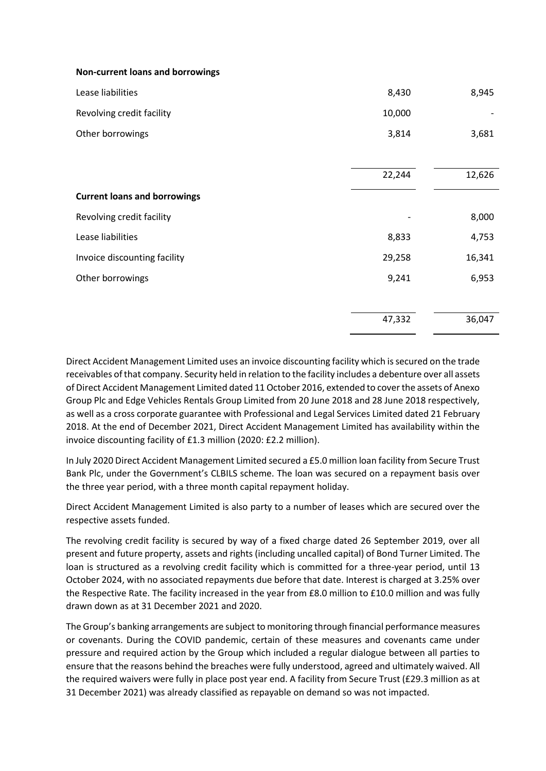#### **Non-current loans and borrowings**

| Lease liabilities                   | 8,430  | 8,945  |
|-------------------------------------|--------|--------|
| Revolving credit facility           | 10,000 |        |
| Other borrowings                    | 3,814  | 3,681  |
|                                     |        |        |
|                                     | 22,244 | 12,626 |
| <b>Current loans and borrowings</b> |        |        |
| Revolving credit facility           |        | 8,000  |
| Lease liabilities                   | 8,833  | 4,753  |
| Invoice discounting facility        | 29,258 | 16,341 |
| Other borrowings                    | 9,241  | 6,953  |
|                                     |        |        |
|                                     | 47,332 | 36,047 |

Direct Accident Management Limited uses an invoice discounting facility which is secured on the trade receivables of that company. Security held in relation to the facility includes a debenture over all assets of Direct Accident Management Limited dated 11 October 2016, extended to cover the assets of Anexo Group Plc and Edge Vehicles Rentals Group Limited from 20 June 2018 and 28 June 2018 respectively, as well as a cross corporate guarantee with Professional and Legal Services Limited dated 21 February 2018. At the end of December 2021, Direct Accident Management Limited has availability within the invoice discounting facility of £1.3 million (2020: £2.2 million).

In July 2020 Direct Accident Management Limited secured a £5.0 million loan facility from Secure Trust Bank Plc, under the Government's CLBILS scheme. The loan was secured on a repayment basis over the three year period, with a three month capital repayment holiday.

Direct Accident Management Limited is also party to a number of leases which are secured over the respective assets funded.

The revolving credit facility is secured by way of a fixed charge dated 26 September 2019, over all present and future property, assets and rights (including uncalled capital) of Bond Turner Limited. The loan is structured as a revolving credit facility which is committed for a three-year period, until 13 October 2024, with no associated repayments due before that date. Interest is charged at 3.25% over the Respective Rate. The facility increased in the year from £8.0 million to £10.0 million and was fully drawn down as at 31 December 2021 and 2020.

The Group's banking arrangements are subject to monitoring through financial performance measures or covenants. During the COVID pandemic, certain of these measures and covenants came under pressure and required action by the Group which included a regular dialogue between all parties to ensure that the reasons behind the breaches were fully understood, agreed and ultimately waived. All the required waivers were fully in place post year end. A facility from Secure Trust (£29.3 million as at 31 December 2021) was already classified as repayable on demand so was not impacted.